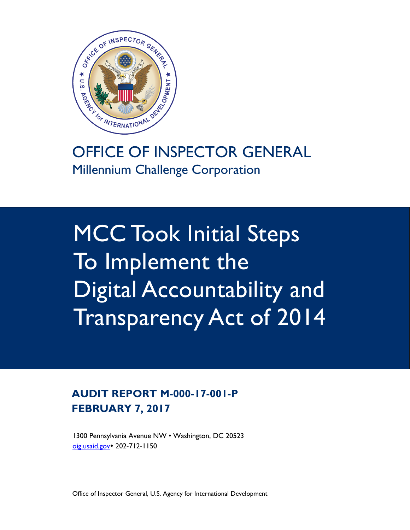

# OFFICE OF INSPECTOR GENERAL Millennium Challenge Corporation

MCC Took Initial Steps To Implement the Digital Accountability and Transparency Act of 2014

### **AUDIT REPORT M-000-17-001-P FEBRUARY 7, 2017**

1300 Pennsylvania Avenue NW • Washington, DC 20523 [oig.usaid.gov](https://oig.usaid.gov/) • 202-712-1150

Office of Inspector General, U.S. Agency for International Development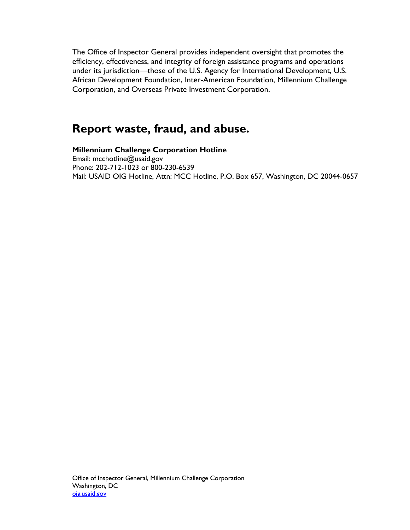The Office of Inspector General provides independent oversight that promotes the efficiency, effectiveness, and integrity of foreign assistance programs and operations under its jurisdiction—those of the U.S. Agency for International Development, U.S. African Development Foundation, Inter-American Foundation, Millennium Challenge Corporation, and Overseas Private Investment Corporation.

### **Report waste, fraud, and abuse.**

**Millennium Challenge Corporation Hotline**  Email: mcchotline@usaid.gov Phone: 202-712-1023 or 800-230-6539 Mail: USAID OIG Hotline, Attn: MCC Hotline, P.O. Box 657, Washington, DC 20044-0657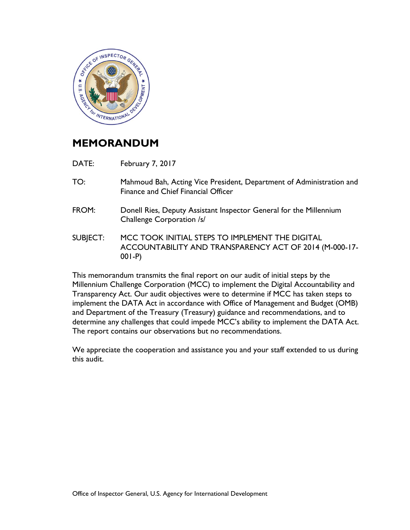

### **MEMORANDUM**

- DATE: February 7, 2017
- TO: Mahmoud Bah, Acting Vice President, Department of Administration and Finance and Chief Financial Officer
- FROM: Donell Ries, Deputy Assistant Inspector General for the Millennium Challenge Corporation /s/
- SUBJECT: MCC TOOK INITIAL STEPS TO IMPLEMENT THE DIGITAL ACCOUNTABILITY AND TRANSPARENCY ACT OF 2014 (M-000-17- 001-P)

This memorandum transmits the final report on our audit of initial steps by the Millennium Challenge Corporation (MCC) to implement the Digital Accountability and Transparency Act. Our audit objectives were to determine if MCC has taken steps to implement the DATA Act in accordance with Office of Management and Budget (OMB) and Department of the Treasury (Treasury) guidance and recommendations, and to determine any challenges that could impede MCC's ability to implement the DATA Act. The report contains our observations but no recommendations.

We appreciate the cooperation and assistance you and your staff extended to us during this audit.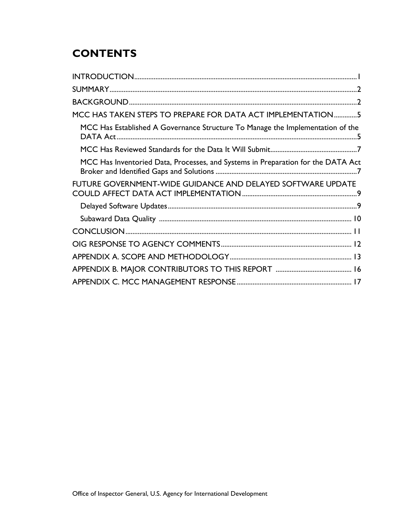## **CONTENTS**

| MCC HAS TAKEN STEPS TO PREPARE FOR DATA ACT IMPLEMENTATION5                      |
|----------------------------------------------------------------------------------|
| MCC Has Established A Governance Structure To Manage the Implementation of the   |
|                                                                                  |
| MCC Has Inventoried Data, Processes, and Systems in Preparation for the DATA Act |
| FUTURE GOVERNMENT-WIDE GUIDANCE AND DELAYED SOFTWARE UPDATE                      |
|                                                                                  |
|                                                                                  |
|                                                                                  |
|                                                                                  |
|                                                                                  |
|                                                                                  |
|                                                                                  |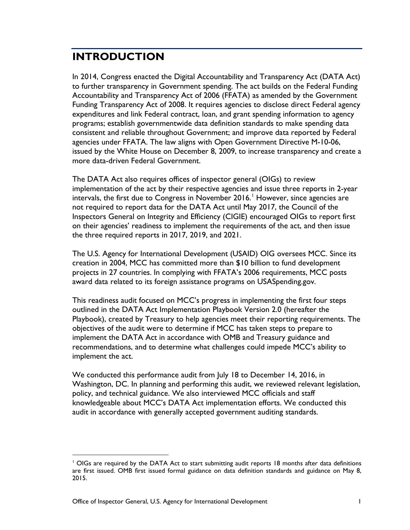### <span id="page-4-0"></span>**INTRODUCTION**

In 2014, Congress enacted the Digital Accountability and Transparency Act (DATA Act) to further transparency in Government spending. The act builds on the Federal Funding Accountability and Transparency Act of 2006 (FFATA) as amended by the Government Funding Transparency Act of 2008. It requires agencies to disclose direct Federal agency expenditures and link Federal contract, loan, and grant spending information to agency programs; establish governmentwide data definition standards to make spending data consistent and reliable throughout Government; and improve data reported by Federal agencies under FFATA. The law aligns with Open Government Directive M-10-06, issued by the White House on December 8, 2009, to increase transparency and create a more data-driven Federal Government.

The DATA Act also requires offices of inspector general (OIGs) to review implementation of the act by their respective agencies and issue three reports in 2-year intervals, the first due to Congress in November 20[1](#page-4-1)6.<sup>1</sup> However, since agencies are not required to report data for the DATA Act until May 2017, the Council of the Inspectors General on Integrity and Efficiency (CIGIE) encouraged OIGs to report first on their agencies' readiness to implement the requirements of the act, and then issue the three required reports in 2017, 2019, and 2021.

The U.S. Agency for International Development (USAID) OIG oversees MCC. Since its creation in 2004, MCC has committed more than \$10 billion to fund development projects in 27 countries. In complying with FFATA's 2006 requirements, MCC posts award data related to its foreign assistance programs on USASpending.gov.

This readiness audit focused on MCC's progress in implementing the first four steps outlined in the DATA Act Implementation Playbook Version 2.0 (hereafter the Playbook), created by Treasury to help agencies meet their reporting requirements. The objectives of the audit were to determine if MCC has taken steps to prepare to implement the DATA Act in accordance with OMB and Treasury guidance and recommendations, and to determine what challenges could impede MCC's ability to implement the act.

We conducted this performance audit from July 18 to December 14, 2016, in Washington, DC. In planning and performing this audit, we reviewed relevant legislation, policy, and technical guidance. We also interviewed MCC officials and staff knowledgeable about MCC's DATA Act implementation efforts. We conducted this audit in accordance with generally accepted government auditing standards.

<span id="page-4-1"></span><sup>&</sup>lt;sup>1</sup> OIGs are required by the DATA Act to start submitting audit reports 18 months after data definitions are first issued. OMB first issued formal guidance on data definition standards and guidance on May 8, 2015.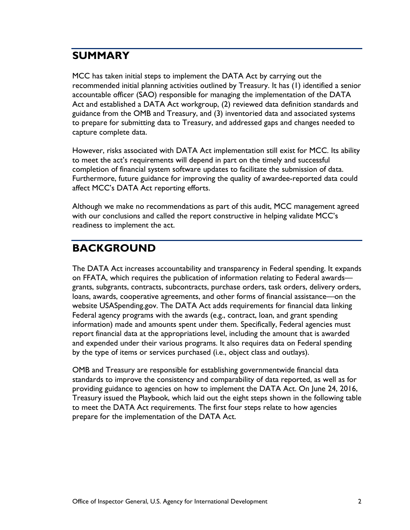### <span id="page-5-0"></span>**SUMMARY**

MCC has taken initial steps to implement the DATA Act by carrying out the recommended initial planning activities outlined by Treasury. It has (1) identified a senior accountable officer (SAO) responsible for managing the implementation of the DATA Act and established a DATA Act workgroup, (2) reviewed data definition standards and guidance from the OMB and Treasury, and (3) inventoried data and associated systems to prepare for submitting data to Treasury, and addressed gaps and changes needed to capture complete data.

However, risks associated with DATA Act implementation still exist for MCC. Its ability to meet the act's requirements will depend in part on the timely and successful completion of financial system software updates to facilitate the submission of data. Furthermore, future guidance for improving the quality of awardee-reported data could affect MCC's DATA Act reporting efforts.

Although we make no recommendations as part of this audit, MCC management agreed with our conclusions and called the report constructive in helping validate MCC's readiness to implement the act.

### <span id="page-5-1"></span>**BACKGROUND**

The DATA Act increases accountability and transparency in Federal spending. It expands on FFATA, which requires the publication of information relating to Federal awards grants, subgrants, contracts, subcontracts, purchase orders, task orders, delivery orders, loans, awards, cooperative agreements, and other forms of financial assistance—on the website USASpending.gov. The DATA Act adds requirements for financial data linking Federal agency programs with the awards (e.g., contract, loan, and grant spending information) made and amounts spent under them. Specifically, Federal agencies must report financial data at the appropriations level, including the amount that is awarded and expended under their various programs. It also requires data on Federal spending by the type of items or services purchased (i.e., object class and outlays).

OMB and Treasury are responsible for establishing governmentwide financial data standards to improve the consistency and comparability of data reported, as well as for providing guidance to agencies on how to implement the DATA Act. On June 24, 2016, Treasury issued the Playbook, which laid out the eight steps shown in the following table to meet the DATA Act requirements. The first four steps relate to how agencies prepare for the implementation of the DATA Act.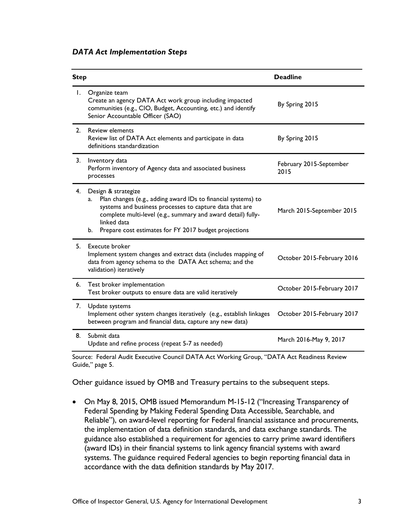|  | <b>DATA Act Implementation Steps</b> |  |
|--|--------------------------------------|--|
|--|--------------------------------------|--|

| <b>Step</b>    |                                                                                                                                                                                                                                                                                                  | <b>Deadline</b>                 |
|----------------|--------------------------------------------------------------------------------------------------------------------------------------------------------------------------------------------------------------------------------------------------------------------------------------------------|---------------------------------|
|                | 1. Organize team<br>Create an agency DATA Act work group including impacted<br>communities (e.g., CIO, Budget, Accounting, etc.) and identify<br>Senior Accountable Officer (SAO)                                                                                                                | By Spring 2015                  |
| 2 <sub>1</sub> | <b>Review elements</b><br>Review list of DATA Act elements and participate in data<br>definitions standardization                                                                                                                                                                                | By Spring 2015                  |
| 3.             | Inventory data<br>Perform inventory of Agency data and associated business<br>processes                                                                                                                                                                                                          | February 2015-September<br>2015 |
| 4.             | Design & strategize<br>Plan changes (e.g., adding award IDs to financial systems) to<br>a.<br>systems and business processes to capture data that are<br>complete multi-level (e.g., summary and award detail) fully-<br>linked data<br>b. Prepare cost estimates for FY 2017 budget projections | March 2015-September 2015       |
| 5.             | Execute broker<br>Implement system changes and extract data (includes mapping of<br>data from agency schema to the DATA Act schema; and the<br>validation) iteratively                                                                                                                           | October 2015-February 2016      |
| 6.             | Test broker implementation<br>Test broker outputs to ensure data are valid iteratively                                                                                                                                                                                                           | October 2015-February 2017      |
| 7.             | Update systems<br>Implement other system changes iteratively (e.g., establish linkages<br>between program and financial data, capture any new data)                                                                                                                                              | October 2015-February 2017      |
| 8.             | Submit data<br>Update and refine process (repeat 5-7 as needed)                                                                                                                                                                                                                                  | March 2016-May 9, 2017          |

Source: Federal Audit Executive Council DATA Act Working Group, "DATA Act Readiness Review Guide," page 5.

Other guidance issued by OMB and Treasury pertains to the subsequent steps.

• On May 8, 2015, OMB issued Memorandum M-15-12 ("Increasing Transparency of Federal Spending by Making Federal Spending Data Accessible, Searchable, and Reliable"), on award-level reporting for Federal financial assistance and procurements, the implementation of data definition standards, and data exchange standards. The guidance also established a requirement for agencies to carry prime award identifiers (award IDs) in their financial systems to link agency financial systems with award systems. The guidance required Federal agencies to begin reporting financial data in accordance with the data definition standards by May 2017.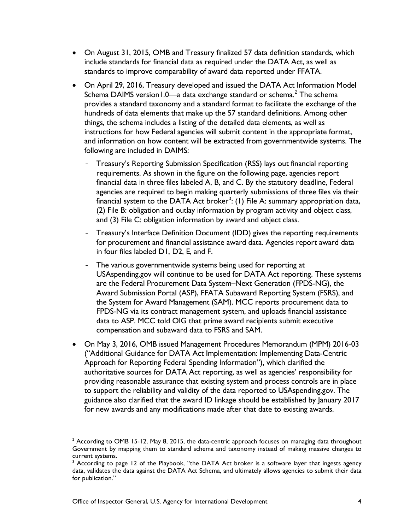- On August 31, 2015, OMB and Treasury finalized 57 data definition standards, which include standards for financial data as required under the DATA Act, as well as standards to improve comparability of award data reported under FFATA.
- On April 29, 2016, Treasury developed and issued the DATA Act Information Model Schema DAIMS version1.0—a data exchange standard or schema.<sup>[2](#page-7-0)</sup> The schema provides a standard taxonomy and a standard format to facilitate the exchange of the hundreds of data elements that make up the 57 standard definitions. Among other things, the schema includes a listing of the detailed data elements, as well as instructions for how Federal agencies will submit content in the appropriate format, and information on how content will be extracted from governmentwide systems. The following are included in DAIMS:
	- Treasury's Reporting Submission Specification (RSS) lays out financial reporting requirements. As shown in the figure on the following page, agencies report financial data in three files labeled A, B, and C. By the statutory deadline, Federal agencies are required to begin making quarterly submissions of three files via their financial system to the DATA Act broker<sup>[3](#page-7-1)</sup>: (1) File A: summary appropriation data, (2) File B: obligation and outlay information by program activity and object class, and (3) File C: obligation information by award and object class.
	- Treasury's Interface Definition Document (IDD) gives the reporting requirements for procurement and financial assistance award data. Agencies report award data in four files labeled D1, D2, E, and F.
	- The various governmentwide systems being used for reporting at USAspending.gov will continue to be used for DATA Act reporting. These systems are the Federal Procurement Data System–Next Generation (FPDS-NG), the Award Submission Portal (ASP), FFATA Subaward Reporting System (FSRS), and the System for Award Management (SAM). MCC reports procurement data to FPDS-NG via its contract management system, and uploads financial assistance data to ASP. MCC told OIG that prime award recipients submit executive compensation and subaward data to FSRS and SAM.
- On May 3, 2016, OMB issued Management Procedures Memorandum (MPM) 2016-03 ("Additional Guidance for DATA Act Implementation: Implementing Data-Centric Approach for Reporting Federal Spending Information"), which clarified the authoritative sources for DATA Act reporting, as well as agencies' responsibility for providing reasonable assurance that existing system and process controls are in place to support the reliability and validity of the data reported to USAspending.gov. The guidance also clarified that the award ID linkage should be established by January 2017 for new awards and any modifications made after that date to existing awards.

<span id="page-7-0"></span> $2$  According to OMB 15-12, May 8, 2015, the data-centric approach focuses on managing data throughout Government by mapping them to standard schema and taxonomy instead of making massive changes to current systems.

<span id="page-7-1"></span>According to page 12 of the Playbook, "the DATA Act broker is a software layer that ingests agency data, validates the data against the DATA Act Schema, and ultimately allows agencies to submit their data for publication."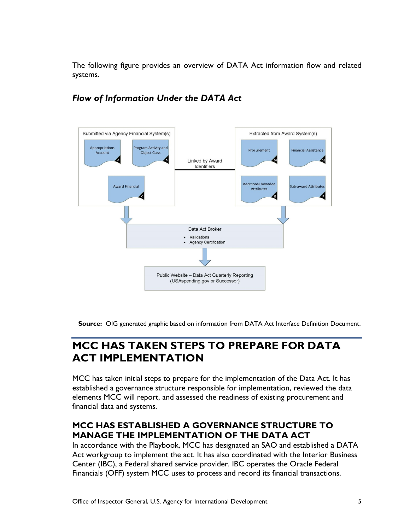The following figure provides an overview of DATA Act information flow and related systems.



### *Flow of Information Under the DATA Act*

**Source:** OIG generated graphic based on information from DATA Act Interface Definition Document.

### <span id="page-8-0"></span>**MCC HAS TAKEN STEPS TO PREPARE FOR DATA ACT IMPLEMENTATION**

MCC has taken initial steps to prepare for the implementation of the Data Act. It has established a governance structure responsible for implementation, reviewed the data elements MCC will report, and assessed the readiness of existing procurement and financial data and systems.

#### <span id="page-8-1"></span>**MCC HAS ESTABLISHED A GOVERNANCE STRUCTURE TO MANAGE THE IMPLEMENTATION OF THE DATA ACT**

In accordance with the Playbook, MCC has designated an SAO and established a DATA Act workgroup to implement the act. It has also coordinated with the Interior Business Center (IBC), a Federal shared service provider. IBC operates the Oracle Federal Financials (OFF) system MCC uses to process and record its financial transactions.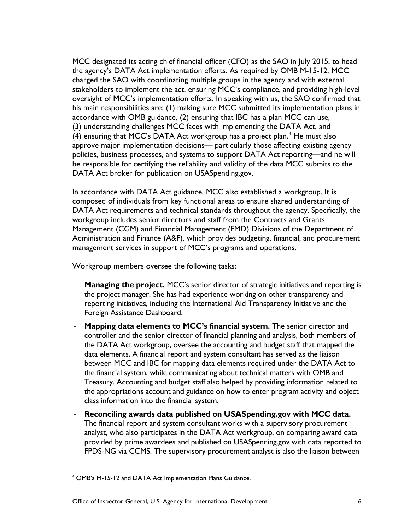MCC designated its acting chief financial officer (CFO) as the SAO in July 2015, to head the agency's DATA Act implementation efforts. As required by OMB M-15-12, MCC charged the SAO with coordinating multiple groups in the agency and with external stakeholders to implement the act, ensuring MCC's compliance, and providing high-level oversight of MCC's implementation efforts. In speaking with us, the SAO confirmed that his main responsibilities are: (1) making sure MCC submitted its implementation plans in accordance with OMB guidance, (2) ensuring that IBC has a plan MCC can use, (3) understanding challenges MCC faces with implementing the DATA Act, and ([4](#page-9-0)) ensuring that MCC's DATA Act workgroup has a project plan.<sup>4</sup> He must also approve major implementation decisions— particularly those affecting existing agency policies, business processes, and systems to support DATA Act reporting—and he will be responsible for certifying the reliability and validity of the data MCC submits to the DATA Act broker for publication on USASpending.gov.

In accordance with DATA Act guidance, MCC also established a workgroup. It is composed of individuals from key functional areas to ensure shared understanding of DATA Act requirements and technical standards throughout the agency. Specifically, the workgroup includes senior directors and staff from the Contracts and Grants Management (CGM) and Financial Management (FMD) Divisions of the Department of Administration and Finance (A&F), which provides budgeting, financial, and procurement management services in support of MCC's programs and operations.

Workgroup members oversee the following tasks:

- **Managing the project.** MCC's senior director of strategic initiatives and reporting is the project manager. She has had experience working on other transparency and reporting initiatives, including the International Aid Transparency Initiative and the Foreign Assistance Dashboard.
- **Mapping data elements to MCC's financial system.** The senior director and controller and the senior director of financial planning and analysis, both members of the DATA Act workgroup, oversee the accounting and budget staff that mapped the data elements. A financial report and system consultant has served as the liaison between MCC and IBC for mapping data elements required under the DATA Act to the financial system, while communicating about technical matters with OMB and Treasury. Accounting and budget staff also helped by providing information related to the appropriations account and guidance on how to enter program activity and object class information into the financial system.
- **Reconciling awards data published on USASpending.gov with MCC data.** The financial report and system consultant works with a supervisory procurement analyst, who also participates in the DATA Act workgroup, on comparing award data provided by prime awardees and published on USASpending.gov with data reported to FPDS-NG via CCMS. The supervisory procurement analyst is also the liaison between

<span id="page-9-0"></span> <sup>4</sup> OMB's M-15-12 and DATA Act Implementation Plans Guidance.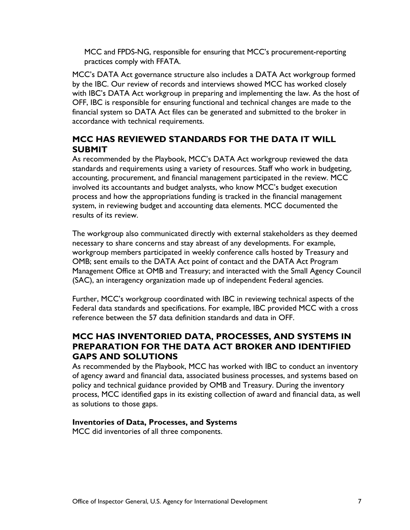MCC and FPDS-NG, responsible for ensuring that MCC's procurement-reporting practices comply with FFATA.

MCC's DATA Act governance structure also includes a DATA Act workgroup formed by the IBC. Our review of records and interviews showed MCC has worked closely with IBC's DATA Act workgroup in preparing and implementing the law. As the host of OFF, IBC is responsible for ensuring functional and technical changes are made to the financial system so DATA Act files can be generated and submitted to the broker in accordance with technical requirements.

#### <span id="page-10-0"></span>**MCC HAS REVIEWED STANDARDS FOR THE DATA IT WILL SUBMIT**

As recommended by the Playbook, MCC's DATA Act workgroup reviewed the data standards and requirements using a variety of resources. Staff who work in budgeting, accounting, procurement, and financial management participated in the review. MCC involved its accountants and budget analysts, who know MCC's budget execution process and how the appropriations funding is tracked in the financial management system, in reviewing budget and accounting data elements. MCC documented the results of its review.

The workgroup also communicated directly with external stakeholders as they deemed necessary to share concerns and stay abreast of any developments. For example, workgroup members participated in weekly conference calls hosted by Treasury and OMB; sent emails to the DATA Act point of contact and the DATA Act Program Management Office at OMB and Treasury; and interacted with the Small Agency Council (SAC), an interagency organization made up of independent Federal agencies.

Further, MCC's workgroup coordinated with IBC in reviewing technical aspects of the Federal data standards and specifications. For example, IBC provided MCC with a cross reference between the 57 data definition standards and data in OFF.

#### <span id="page-10-1"></span>**MCC HAS INVENTORIED DATA, PROCESSES, AND SYSTEMS IN PREPARATION FOR THE DATA ACT BROKER AND IDENTIFIED GAPS AND SOLUTIONS**

As recommended by the Playbook, MCC has worked with IBC to conduct an inventory of agency award and financial data, associated business processes, and systems based on policy and technical guidance provided by OMB and Treasury. During the inventory process, MCC identified gaps in its existing collection of award and financial data, as well as solutions to those gaps.

#### **Inventories of Data, Processes, and Systems**

MCC did inventories of all three components.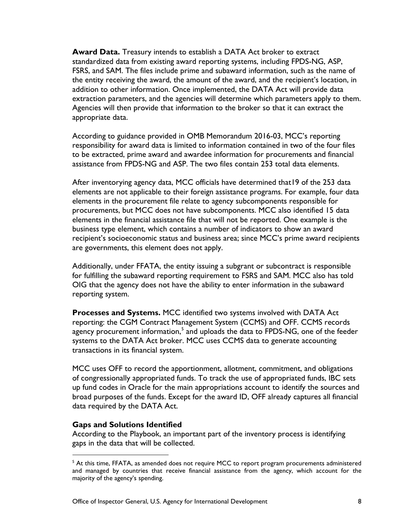**Award Data.** Treasury intends to establish a DATA Act broker to extract standardized data from existing award reporting systems, including FPDS-NG, ASP, FSRS, and SAM. The files include prime and subaward information, such as the name of the entity receiving the award, the amount of the award, and the recipient's location, in addition to other information. Once implemented, the DATA Act will provide data extraction parameters, and the agencies will determine which parameters apply to them. Agencies will then provide that information to the broker so that it can extract the appropriate data.

According to guidance provided in OMB Memorandum 2016-03, MCC's reporting responsibility for award data is limited to information contained in two of the four files to be extracted, prime award and awardee information for procurements and financial assistance from FPDS-NG and ASP. The two files contain 253 total data elements.

After inventorying agency data, MCC officials have determined that19 of the 253 data elements are not applicable to their foreign assistance programs. For example, four data elements in the procurement file relate to agency subcomponents responsible for procurements, but MCC does not have subcomponents. MCC also identified 15 data elements in the financial assistance file that will not be reported. One example is the business type element, which contains a number of indicators to show an award recipient's socioeconomic status and business area; since MCC's prime award recipients are governments, this element does not apply.

Additionally, under FFATA, the entity issuing a subgrant or subcontract is responsible for fulfilling the subaward reporting requirement to FSRS and SAM. MCC also has told OIG that the agency does not have the ability to enter information in the subaward reporting system.

**Processes and Systems.** MCC identified two systems involved with DATA Act reporting: the CGM Contract Management System (CCMS) and OFF. CCMS records agency procurement information,<sup>[5](#page-11-0)</sup> and uploads the data to FPDS-NG, one of the feeder systems to the DATA Act broker. MCC uses CCMS data to generate accounting transactions in its financial system.

MCC uses OFF to record the apportionment, allotment, commitment, and obligations of congressionally appropriated funds. To track the use of appropriated funds, IBC sets up fund codes in Oracle for the main appropriations account to identify the sources and broad purposes of the funds. Except for the award ID, OFF already captures all financial data required by the DATA Act.

#### **Gaps and Solutions Identified**

According to the Playbook, an important part of the inventory process is identifying gaps in the data that will be collected.

<span id="page-11-0"></span><sup>&</sup>lt;sup>5</sup> At this time, FFATA, as amended does not require MCC to report program procurements administered and managed by countries that receive financial assistance from the agency, which account for the majority of the agency's spending.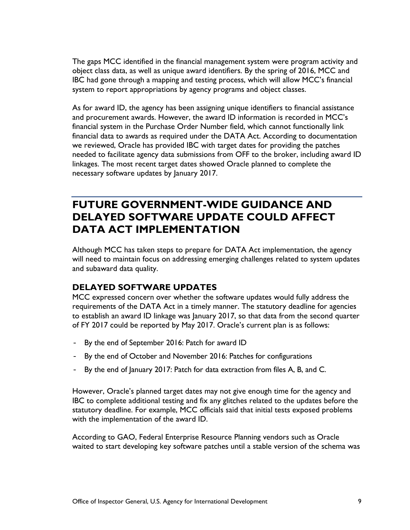The gaps MCC identified in the financial management system were program activity and object class data, as well as unique award identifiers. By the spring of 2016, MCC and IBC had gone through a mapping and testing process, which will allow MCC's financial system to report appropriations by agency programs and object classes.

As for award ID, the agency has been assigning unique identifiers to financial assistance and procurement awards. However, the award ID information is recorded in MCC's financial system in the Purchase Order Number field, which cannot functionally link financial data to awards as required under the DATA Act. According to documentation we reviewed, Oracle has provided IBC with target dates for providing the patches needed to facilitate agency data submissions from OFF to the broker, including award ID linkages. The most recent target dates showed Oracle planned to complete the necessary software updates by January 2017.

### <span id="page-12-0"></span>**FUTURE GOVERNMENT-WIDE GUIDANCE AND DELAYED SOFTWARE UPDATE COULD AFFECT DATA ACT IMPLEMENTATION**

Although MCC has taken steps to prepare for DATA Act implementation, the agency will need to maintain focus on addressing emerging challenges related to system updates and subaward data quality.

#### <span id="page-12-1"></span>**DELAYED SOFTWARE UPDATES**

MCC expressed concern over whether the software updates would fully address the requirements of the DATA Act in a timely manner. The statutory deadline for agencies to establish an award ID linkage was January 2017, so that data from the second quarter of FY 2017 could be reported by May 2017. Oracle's current plan is as follows:

- By the end of September 2016: Patch for award ID
- By the end of October and November 2016: Patches for configurations
- By the end of January 2017: Patch for data extraction from files A, B, and C.

However, Oracle's planned target dates may not give enough time for the agency and IBC to complete additional testing and fix any glitches related to the updates before the statutory deadline. For example, MCC officials said that initial tests exposed problems with the implementation of the award ID.

According to GAO, Federal Enterprise Resource Planning vendors such as Oracle waited to start developing key software patches until a stable version of the schema was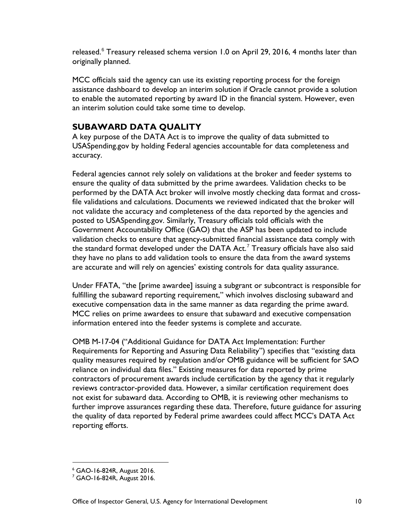released. $6$  Treasury released schema version 1.0 on April 29, 2016, 4 months later than originally planned.

MCC officials said the agency can use its existing reporting process for the foreign assistance dashboard to develop an interim solution if Oracle cannot provide a solution to enable the automated reporting by award ID in the financial system. However, even an interim solution could take some time to develop.

#### <span id="page-13-0"></span>**SUBAWARD DATA QUALITY**

A key purpose of the DATA Act is to improve the quality of data submitted to USASpending.gov by holding Federal agencies accountable for data completeness and accuracy.

Federal agencies cannot rely solely on validations at the broker and feeder systems to ensure the quality of data submitted by the prime awardees. Validation checks to be performed by the DATA Act broker will involve mostly checking data format and crossfile validations and calculations. Documents we reviewed indicated that the broker will not validate the accuracy and completeness of the data reported by the agencies and posted to USASpending.gov. Similarly, Treasury officials told officials with the Government Accountability Office (GAO) that the ASP has been updated to include validation checks to ensure that agency-submitted financial assistance data comply with the standard format developed under the DATA Act.<sup>[7](#page-13-2)</sup> Treasury officials have also said they have no plans to add validation tools to ensure the data from the award systems are accurate and will rely on agencies' existing controls for data quality assurance.

Under FFATA, "the [prime awardee] issuing a subgrant or subcontract is responsible for fulfilling the subaward reporting requirement," which involves disclosing subaward and executive compensation data in the same manner as data regarding the prime award. MCC relies on prime awardees to ensure that subaward and executive compensation information entered into the feeder systems is complete and accurate.

OMB M-17-04 ("Additional Guidance for DATA Act Implementation: Further Requirements for Reporting and Assuring Data Reliability") specifies that "existing data quality measures required by regulation and/or OMB guidance will be sufficient for SAO reliance on individual data files." Existing measures for data reported by prime contractors of procurement awards include certification by the agency that it regularly reviews contractor-provided data. However, a similar certification requirement does not exist for subaward data. According to OMB, it is reviewing other mechanisms to further improve assurances regarding these data. Therefore, future guidance for assuring the quality of data reported by Federal prime awardees could affect MCC's DATA Act reporting efforts.

 <sup>6</sup> GAO-16-824R, August 2016.

<span id="page-13-2"></span><span id="page-13-1"></span><sup>7</sup> GAO-16-824R, August 2016.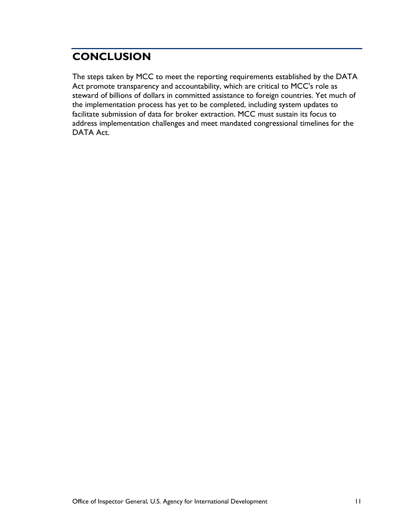### <span id="page-14-0"></span>**CONCLUSION**

The steps taken by MCC to meet the reporting requirements established by the DATA Act promote transparency and accountability, which are critical to MCC's role as steward of billions of dollars in committed assistance to foreign countries. Yet much of the implementation process has yet to be completed, including system updates to facilitate submission of data for broker extraction. MCC must sustain its focus to address implementation challenges and meet mandated congressional timelines for the DATA Act.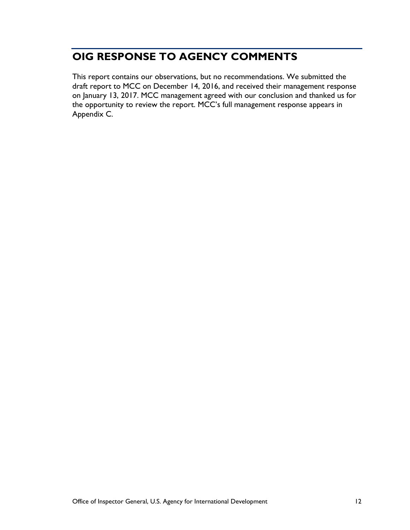### <span id="page-15-0"></span>**OIG RESPONSE TO AGENCY COMMENTS**

This report contains our observations, but no recommendations. We submitted the draft report to MCC on December 14, 2016, and received their management response on January 13, 2017. MCC management agreed with our conclusion and thanked us for the opportunity to review the report. MCC's full management response appears in Appendix C.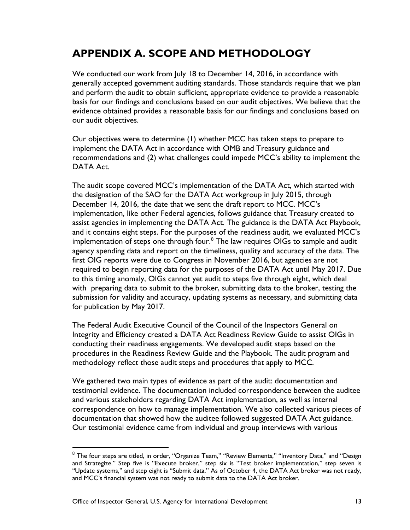### <span id="page-16-0"></span>**APPENDIX A. SCOPE AND METHODOLOGY**

We conducted our work from July 18 to December 14, 2016, in accordance with generally accepted government auditing standards. Those standards require that we plan and perform the audit to obtain sufficient, appropriate evidence to provide a reasonable basis for our findings and conclusions based on our audit objectives. We believe that the evidence obtained provides a reasonable basis for our findings and conclusions based on our audit objectives.

Our objectives were to determine (1) whether MCC has taken steps to prepare to implement the DATA Act in accordance with OMB and Treasury guidance and recommendations and (2) what challenges could impede MCC's ability to implement the DATA Act.

The audit scope covered MCC's implementation of the DATA Act, which started with the designation of the SAO for the DATA Act workgroup in July 2015, through December 14, 2016, the date that we sent the draft report to MCC. MCC's implementation, like other Federal agencies, follows guidance that Treasury created to assist agencies in implementing the DATA Act. The guidance is the DATA Act Playbook, and it contains eight steps. For the purposes of the readiness audit, we evaluated MCC's implementation of steps one through four. $8$  The law requires OIGs to sample and audit agency spending data and report on the timeliness, quality and accuracy of the data. The first OIG reports were due to Congress in November 2016, but agencies are not required to begin reporting data for the purposes of the DATA Act until May 2017. Due to this timing anomaly, OIGs cannot yet audit to steps five through eight, which deal with preparing data to submit to the broker, submitting data to the broker, testing the submission for validity and accuracy, updating systems as necessary, and submitting data for publication by May 2017.

The Federal Audit Executive Council of the Council of the Inspectors General on Integrity and Efficiency created a DATA Act Readiness Review Guide to assist OIGs in conducting their readiness engagements. We developed audit steps based on the procedures in the Readiness Review Guide and the Playbook. The audit program and methodology reflect those audit steps and procedures that apply to MCC.

We gathered two main types of evidence as part of the audit: documentation and testimonial evidence. The documentation included correspondence between the auditee and various stakeholders regarding DATA Act implementation, as well as internal correspondence on how to manage implementation. We also collected various pieces of documentation that showed how the auditee followed suggested DATA Act guidance. Our testimonial evidence came from individual and group interviews with various

 $\overline{a}$ 

<span id="page-16-1"></span> $8$  The four steps are titled, in order, "Organize Team," "Review Elements," "Inventory Data," and "Design and Strategize." Step five is "Execute broker," step six is "Test broker implementation," step seven is "Update systems," and step eight is "Submit data." As of October 4, the DATA Act broker was not ready, and MCC's financial system was not ready to submit data to the DATA Act broker.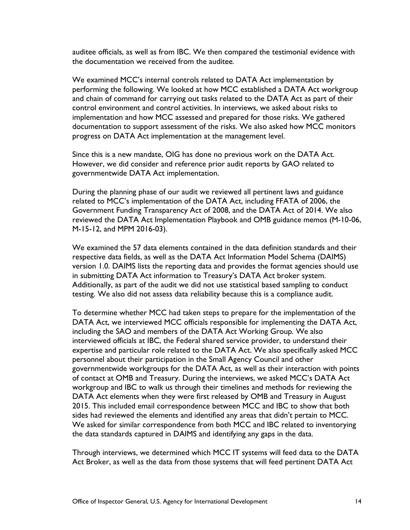auditee officials, as well as from IBC. We then compared the testimonial evidence with the documentation we received from the auditee.

We examined MCC's internal controls related to DATA Act implementation by performing the following. We looked at how MCC established a DATA Act workgroup and chain of command for carrying out tasks related to the DATA Act as part of their control environment and control activities. In interviews, we asked about risks to implementation and how MCC assessed and prepared for those risks. We gathered documentation to support assessment of the risks. We also asked how MCC monitors progress on DATA Act implementation at the management level.

Since this is a new mandate, OIG has done no previous work on the DATA Act. However, we did consider and reference prior audit reports by GAO related to governmentwide DATA Act implementation.

During the planning phase of our audit we reviewed all pertinent laws and guidance related to MCC's implementation of the DATA Act, including FFATA of 2006, the Government Funding Transparency Act of 2008, and the DATA Act of 2014. We also reviewed the DATA Act Implementation Playbook and OMB guidance memos (M-10-06, M-15-12, and MPM 2016-03).

We examined the 57 data elements contained in the data definition standards and their respective data fields, as well as the DATA Act Information Model Schema (DAIMS) version 1.0. DAIMS lists the reporting data and provides the format agencies should use in submitting DATA Act information to Treasury's DATA Act broker system. Additionally, as part of the audit we did not use statistical based sampling to conduct testing. We also did not assess data reliability because this is a compliance audit.

To determine whether MCC had taken steps to prepare for the implementation of the DATA Act, we interviewed MCC officials responsible for implementing the DATA Act, including the SAO and members of the DATA Act Working Group. We also interviewed officials at IBC, the Federal shared service provider, to understand their expertise and particular role related to the DATA Act. We also specifically asked MCC personnel about their participation in the Small Agency Council and other governmentwide workgroups for the DATA Act, as well as their interaction with points of contact at OMB and Treasury. During the interviews, we asked MCC's DATA Act workgroup and IBC to walk us through their timelines and methods for reviewing the DATA Act elements when they were first released by OMB and Treasury in August 2015. This included email correspondence between MCC and IBC to show that both sides had reviewed the elements and identified any areas that didn't pertain to MCC. We asked for similar correspondence from both MCC and IBC related to inventorying the data standards captured in DAIMS and identifying any gaps in the data.

Through interviews, we determined which MCC IT systems will feed data to the DATA Act Broker, as well as the data from those systems that will feed pertinent DATA Act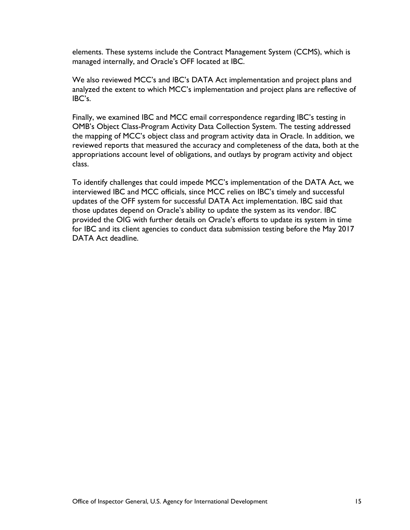elements. These systems include the Contract Management System (CCMS), which is managed internally, and Oracle's OFF located at IBC.

We also reviewed MCC's and IBC's DATA Act implementation and project plans and analyzed the extent to which MCC's implementation and project plans are reflective of IBC's.

Finally, we examined IBC and MCC email correspondence regarding IBC's testing in OMB's Object Class-Program Activity Data Collection System. The testing addressed the mapping of MCC's object class and program activity data in Oracle. In addition, we reviewed reports that measured the accuracy and completeness of the data, both at the appropriations account level of obligations, and outlays by program activity and object class.

To identify challenges that could impede MCC's implementation of the DATA Act, we interviewed IBC and MCC officials, since MCC relies on IBC's timely and successful updates of the OFF system for successful DATA Act implementation. IBC said that those updates depend on Oracle's ability to update the system as its vendor. IBC provided the OIG with further details on Oracle's efforts to update its system in time for IBC and its client agencies to conduct data submission testing before the May 2017 DATA Act deadline.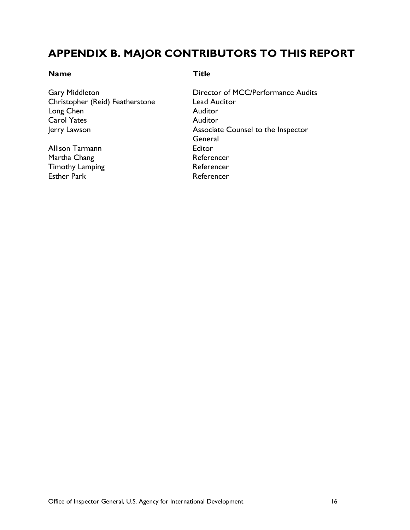### <span id="page-19-0"></span>**APPENDIX B. MAJOR CONTRIBUTORS TO THIS REPORT**

#### **Name Title**

Christopher (Reid) Featherstone Lead Auditor<br>
Long Chen Muditor<br>
Auditor Long  $C$ hen Carol Yates **Auditor** 

Allison Tarmann **Editor** Martha Chang **Referencer** Referencer Timothy Lamping Timothy Lamping Esther Park **Referencer** 

Gary Middleton **Director of MCC/Performance Audits** Jerry Lawson **Associate Counsel to the Inspector General**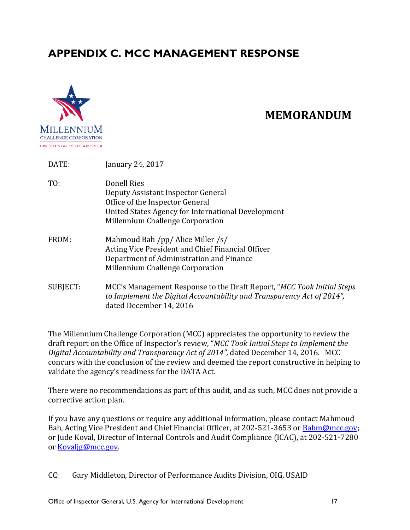### <span id="page-20-0"></span>**APPENDIX C. MCC MANAGEMENT RESPONSE**



### **MEMORANDUM**

| DATE:    | January 24, 2017                                                                                                                                                               |
|----------|--------------------------------------------------------------------------------------------------------------------------------------------------------------------------------|
| TO:      | Donell Ries<br>Deputy Assistant Inspector General<br>Office of the Inspector General<br>United States Agency for International Development<br>Millennium Challenge Corporation |
| FROM:    | Mahmoud Bah /pp/ Alice Miller /s/<br>Acting Vice President and Chief Financial Officer<br>Department of Administration and Finance<br>Millennium Challenge Corporation         |
| SUBJECT: | MCC's Management Response to the Draft Report, "MCC Took Initial Steps"<br>to Implement the Digital Accountability and Transparency Act of 2014",<br>dated December 14, 2016   |

The Millennium Challenge Corporation (MCC) appreciates the opportunity to review the draft report on the Office of Inspector's review, "*MCC Took Initial Steps to Implement the Digital Accountability and Transparency Act of 2014",* dated December 14, 2016. MCC concurs with the conclusion of the review and deemed the report constructive in helping to validate the agency's readiness for the DATA Act.

There were no recommendations as part of this audit, and as such, MCC does not provide a corrective action plan.

If you have any questions or require any additional information, please contact Mahmoud Bah, Acting Vice President and Chief Financial Officer, at 202-521-3653 or [Bahm@mcc.gov;](mailto:Bahm@mcc.gov) or Jude Koval, Director of Internal Controls and Audit Compliance (ICAC), at 202-521-7280 or [Kovaljg@mcc.gov.](mailto:Kovaljg@mcc.gov)

CC: Gary Middleton, Director of Performance Audits Division, OIG, USAID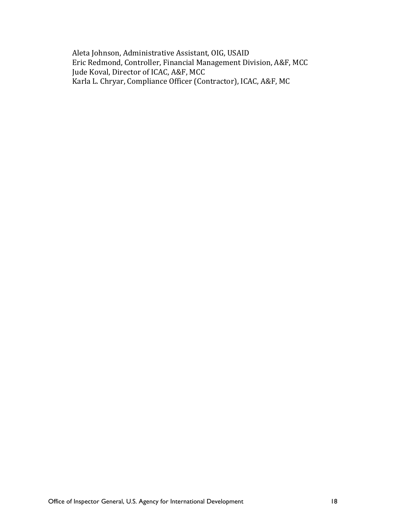Aleta Johnson, Administrative Assistant, OIG, USAID Eric Redmond, Controller, Financial Management Division, A&F, MCC Jude Koval, Director of ICAC, A&F, MCC Karla L. Chryar, Compliance Officer (Contractor), ICAC, A&F, MC